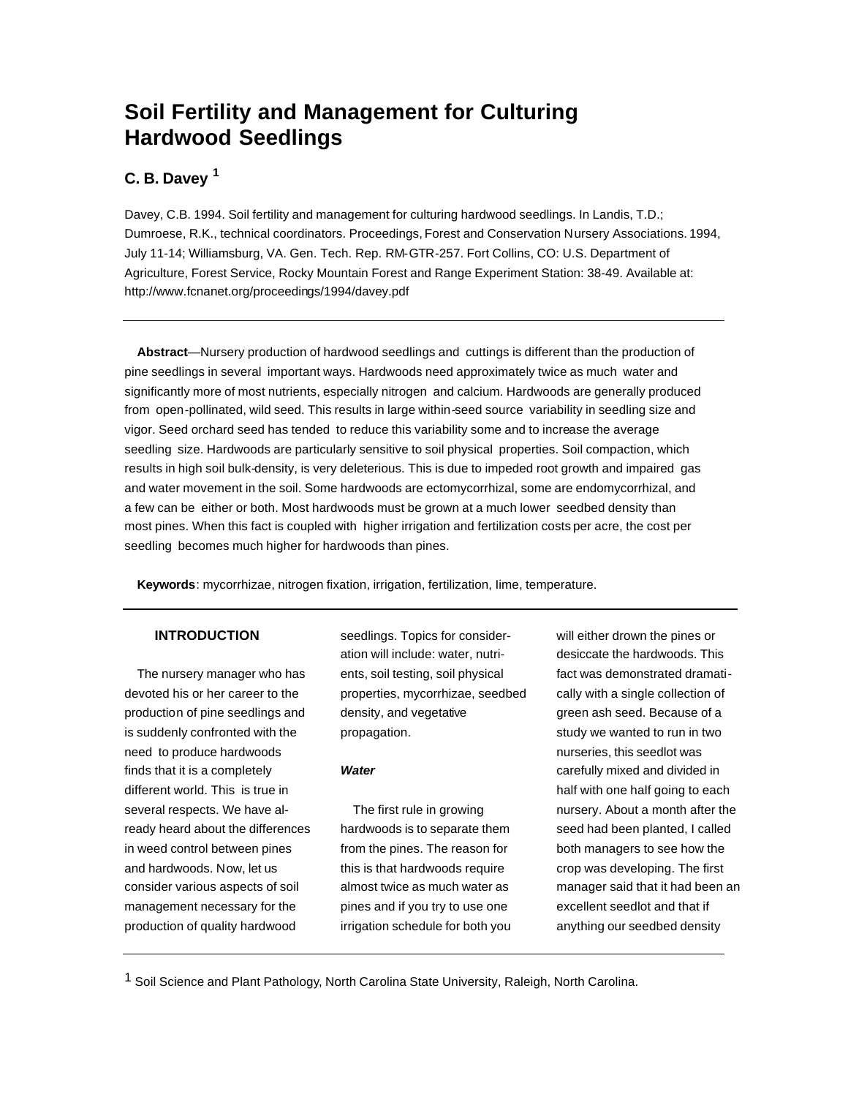# **Soil Fertility and Management for Culturing Hardwood Seedlings**

## **C. B. Davey <sup>1</sup>**

Davey, C.B. 1994. Soil fertility and management for culturing hardwood seedlings. In Landis, T.D.; Dumroese, R.K., technical coordinators. Proceedings, Forest and Conservation Nursery Associations. 1994, July 11-14; Williamsburg, VA. Gen. Tech. Rep. RM-GTR-257. Fort Collins, CO: U.S. Department of Agriculture, Forest Service, Rocky Mountain Forest and Range Experiment Station: 38-49. Available at: http://www.fcnanet.org/proceedings/1994/davey.pdf

**Abstract**—Nursery production of hardwood seedlings and cuttings is different than the production of pine seedlings in several important ways. Hardwoods need approximately twice as much water and significantly more of most nutrients, especially nitrogen and calcium. Hardwoods are generally produced from open-pollinated, wild seed. This results in large within-seed source variability in seedling size and vigor. Seed orchard seed has tended to reduce this variability some and to increase the average seedling size. Hardwoods are particularly sensitive to soil physical properties. Soil compaction, which results in high soil bulk-density, is very deleterious. This is due to impeded root growth and impaired gas and water movement in the soil. Some hardwoods are ectomycorrhizal, some are endomycorrhizal, and a few can be either or both. Most hardwoods must be grown at a much lower seedbed density than most pines. When this fact is coupled with higher irrigation and fertilization costs per acre, the cost per seedling becomes much higher for hardwoods than pines.

**Keywords**: mycorrhizae, nitrogen fixation, irrigation, fertilization, Iime, temperature.

## **INTRODUCTION**

The nursery manager who has devoted his or her career to the production of pine seedlings and is suddenly confronted with the need to produce hardwoods finds that it is a completely different world. This is true in several respects. We have already heard about the differences in weed control between pines and hardwoods. Now, let us consider various aspects of soil management necessary for the production of quality hardwood

seedlings. Topics for consideration will include: water, nutrients, soil testing, soil physical properties, mycorrhizae, seedbed density, and vegetative propagation.

## *Water*

The first rule in growing hardwoods is to separate them from the pines. The reason for this is that hardwoods require almost twice as much water as pines and if you try to use one irrigation schedule for both you will either drown the pines or desiccate the hardwoods. This fact was demonstrated dramatically with a single collection of green ash seed. Because of a study we wanted to run in two nurseries, this seedlot was carefully mixed and divided in half with one half going to each nursery. About a month after the seed had been planted, I called both managers to see how the crop was developing. The first manager said that it had been an excellent seedlot and that if anything our seedbed density

1 Soil Science and Plant Pathology, North Carolina State University, Raleigh, North Carolina.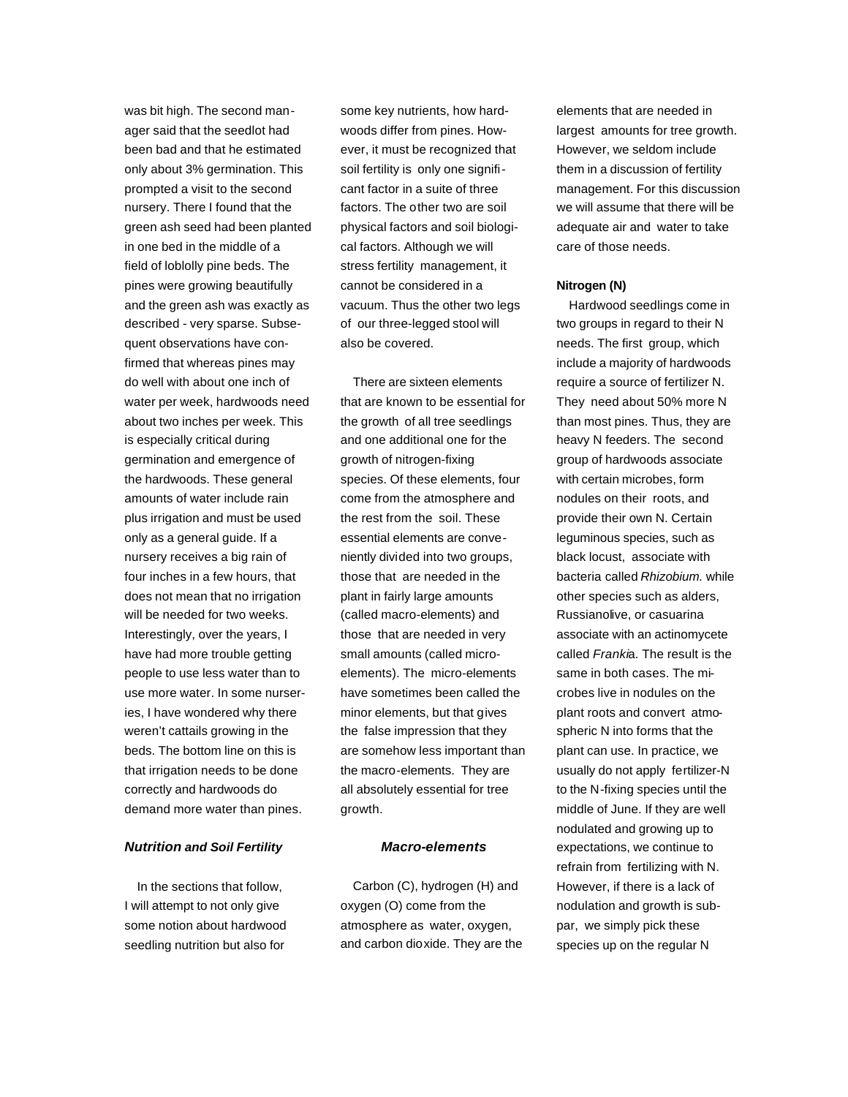was bit high. The second manager said that the seedlot had been bad and that he estimated only about 3% germination. This prompted a visit to the second nursery. There I found that the green ash seed had been planted in one bed in the middle of a field of loblolly pine beds. The pines were growing beautifully and the green ash was exactly as described - very sparse. Subsequent observations have confirmed that whereas pines may do well with about one inch of water per week, hardwoods need about two inches per week. This is especially critical during germination and emergence of the hardwoods. These general amounts of water include rain plus irrigation and must be used only as a general guide. If a nursery receives a big rain of four inches in a few hours, that does not mean that no irrigation will be needed for two weeks. Interestingly, over the years, I have had more trouble getting people to use less water than to use more water. In some nurseries, I have wondered why there weren't cattails growing in the beds. The bottom line on this is that irrigation needs to be done correctly and hardwoods do demand more water than pines.

## *Nutrition and Soil Fertility*

In the sections that follow, I will attempt to not only give some notion about hardwood seedling nutrition but also for

some key nutrients, how hardwoods differ from pines. However, it must be recognized that soil fertility is only one significant factor in a suite of three factors. The other two are soil physical factors and soil biological factors. Although we will stress fertility management, it cannot be considered in a vacuum. Thus the other two legs of our three-legged stool will also be covered.

There are sixteen elements that are known to be essential for the growth of all tree seedlings and one additional one for the growth of nitrogen-fixing species. Of these elements, four come from the atmosphere and the rest from the soil. These essential elements are conveniently divided into two groups, those that are needed in the plant in fairly large amounts (called macro-elements) and those that are needed in very small amounts (called microelements). The micro-elements have sometimes been called the minor elements, but that gives the false impression that they are somehow less important than the macro-elements. They are all absolutely essential for tree growth.

## *Macro-elements*

Carbon (C), hydrogen (H) and oxygen (O) come from the atmosphere as water, oxygen, and carbon dioxide. They are the elements that are needed in largest amounts for tree growth. However, we seldom include them in a discussion of fertility management. For this discussion we will assume that there will be adequate air and water to take care of those needs.

## **Nitrogen (N)**

Hardwood seedlings come in two groups in regard to their N needs. The first group, which include a majority of hardwoods require a source of fertilizer N. They need about 50% more N than most pines. Thus, they are heavy N feeders. The second group of hardwoods associate with certain microbes, form nodules on their roots, and provide their own N. Certain leguminous species, such as black locust, associate with bacteria called *Rhizobium.* while other species such as alders, Russianolive, or casuarina associate with an actinomycete called *Franki*a. The result is the same in both cases. The microbes live in nodules on the plant roots and convert atmospheric N into forms that the plant can use. In practice, we usually do not apply fertilizer-N to the N-fixing species until the middle of June. If they are well nodulated and growing up to expectations, we continue to refrain from fertilizing with N. However, if there is a lack of nodulation and growth is subpar, we simply pick these species up on the regular N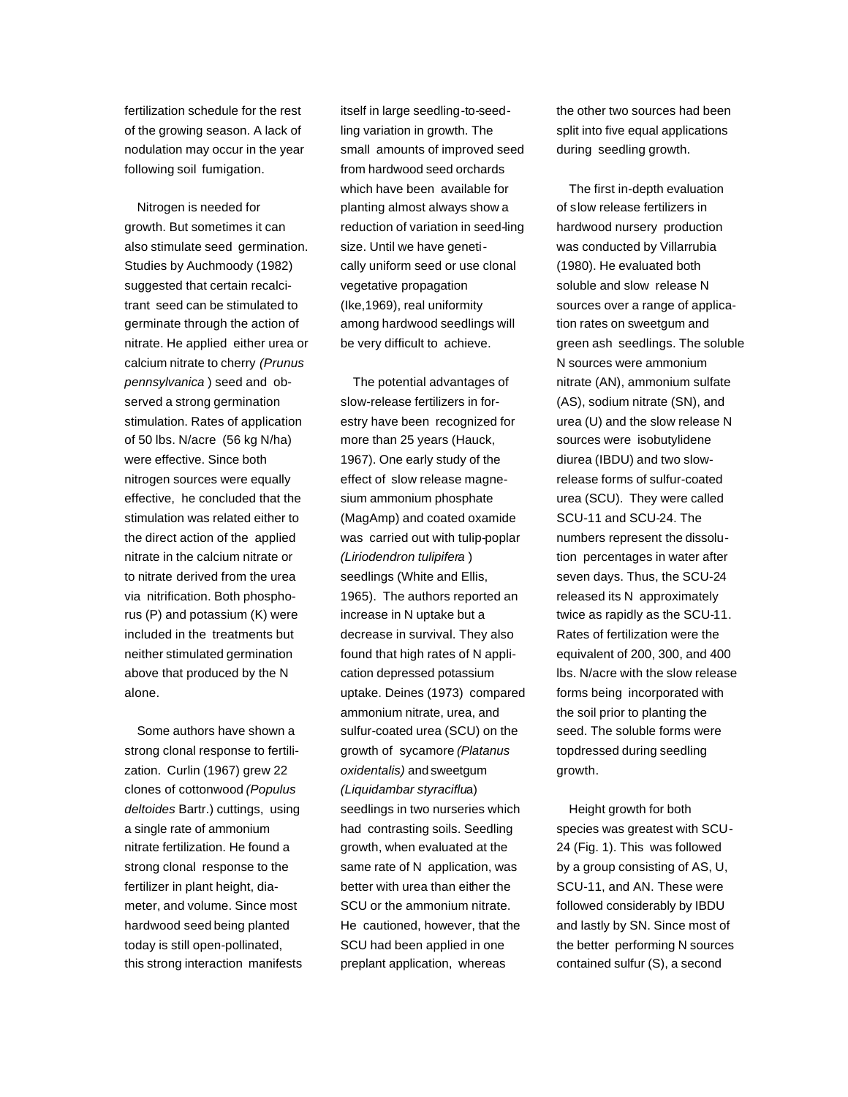fertilization schedule for the rest of the growing season. A lack of nodulation may occur in the year following soil fumigation.

Nitrogen is needed for growth. But sometimes it can also stimulate seed germination. Studies by Auchmoody (1982) suggested that certain recalcitrant seed can be stimulated to germinate through the action of nitrate. He applied either urea or calcium nitrate to cherry *(Prunus pennsylvanica* ) seed and observed a strong germination stimulation. Rates of application of 50 lbs. N/acre (56 kg N/ha) were effective. Since both nitrogen sources were equally effective, he concluded that the stimulation was related either to the direct action of the applied nitrate in the calcium nitrate or to nitrate derived from the urea via nitrification. Both phosphorus (P) and potassium (K) were included in the treatments but neither stimulated germination above that produced by the N alone.

Some authors have shown a strong clonal response to fertilization. Curlin (1967) grew 22 clones of cottonwood *(Populus deltoides* Bartr.) cuttings, using a single rate of ammonium nitrate fertilization. He found a strong clonal response to the fertilizer in plant height, diameter, and volume. Since most hardwood seed being planted today is still open-pollinated, this strong interaction manifests itself in large seedling-to-seedling variation in growth. The small amounts of improved seed from hardwood seed orchards which have been available for planting almost always show a reduction of variation in seed-ling size. Until we have genetically uniform seed or use clonal vegetative propagation (Ike,1969), real uniformity among hardwood seedlings will be very difficult to achieve.

The potential advantages of slow-release fertilizers in forestry have been recognized for more than 25 years (Hauck, 1967). One early study of the effect of slow release magnesium ammonium phosphate (MagAmp) and coated oxamide was carried out with tulip-poplar *(Liriodendron tulipifera* ) seedlings (White and Ellis, 1965). The authors reported an increase in N uptake but a decrease in survival. They also found that high rates of N application depressed potassium uptake. Deines (1973) compared ammonium nitrate, urea, and sulfur-coated urea (SCU) on the growth of sycamore *(Platanus oxidentalis)* and sweetgum *(Liquidambar styraciflu*a) seedlings in two nurseries which had contrasting soils. Seedling growth, when evaluated at the same rate of N application, was better with urea than either the SCU or the ammonium nitrate. He cautioned, however, that the SCU had been applied in one preplant application, whereas

the other two sources had been split into five equal applications during seedling growth.

The first in-depth evaluation of slow release fertilizers in hardwood nursery production was conducted by Villarrubia (1980). He evaluated both soluble and slow release N sources over a range of application rates on sweetgum and green ash seedlings. The soluble N sources were ammonium nitrate (AN), ammonium sulfate (AS), sodium nitrate (SN), and urea (U) and the slow release N sources were isobutylidene diurea (IBDU) and two slowrelease forms of sulfur-coated urea (SCU). They were called SCU-11 and SCU-24. The numbers represent the dissolution percentages in water after seven days. Thus, the SCU-24 released its N approximately twice as rapidly as the SCU-11. Rates of fertilization were the equivalent of 200, 300, and 400 lbs. N/acre with the slow release forms being incorporated with the soil prior to planting the seed. The soluble forms were topdressed during seedling growth.

Height growth for both species was greatest with SCU-24 (Fig. 1). This was followed by a group consisting of AS, U, SCU-11, and AN. These were followed considerably by IBDU and lastly by SN. Since most of the better performing N sources contained sulfur (S), a second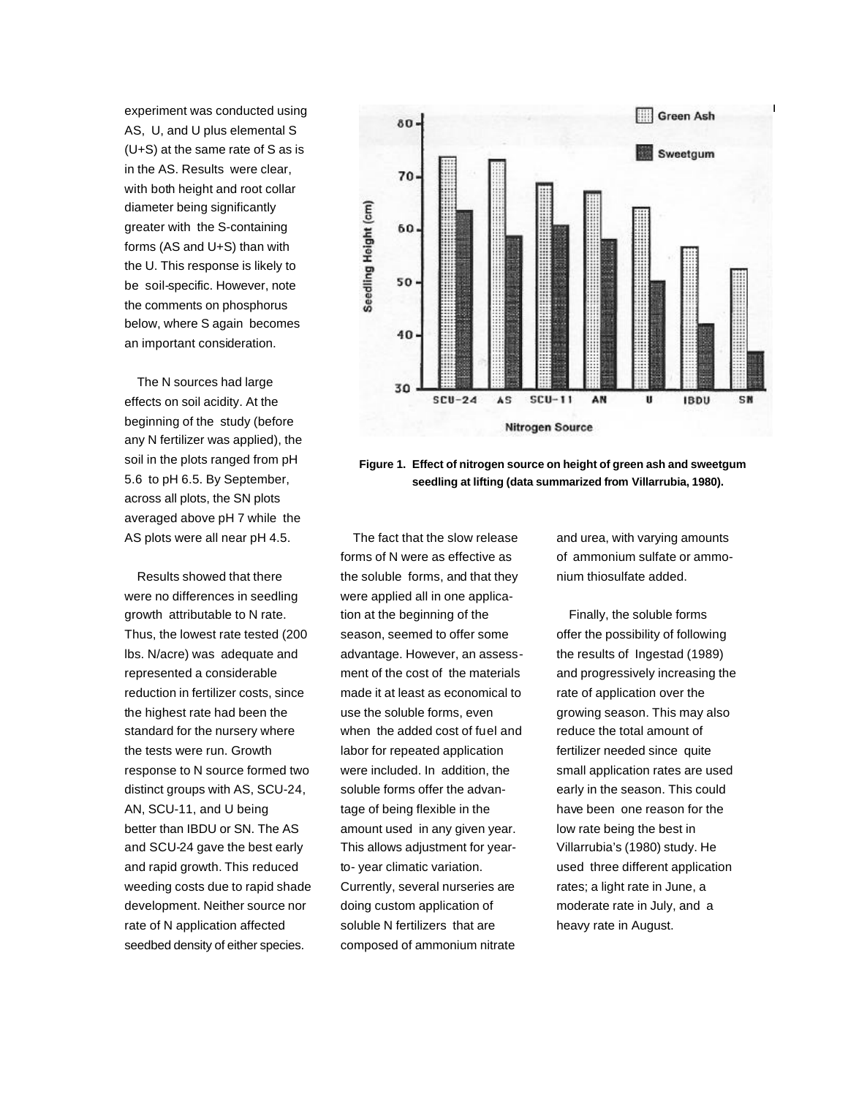experiment was conducted using AS, U, and U plus elemental S (U+S) at the same rate of S as is in the AS. Results were clear, with both height and root collar diameter being significantly greater with the S-containing forms (AS and U+S) than with the U. This response is likely to be soil-specific. However, note the comments on phosphorus below, where S again becomes an important consideration.

The N sources had large effects on soil acidity. At the beginning of the study (before any N fertilizer was applied), the soil in the plots ranged from pH 5.6 to pH 6.5. By September, across all plots, the SN plots averaged above pH 7 while the AS plots were all near pH 4.5.

Results showed that there were no differences in seedling growth attributable to N rate. Thus, the lowest rate tested (200 lbs. N/acre) was adequate and represented a considerable reduction in fertilizer costs, since the highest rate had been the standard for the nursery where the tests were run. Growth response to N source formed two distinct groups with AS, SCU-24, AN, SCU-11, and U being better than IBDU or SN. The AS and SCU-24 gave the best early and rapid growth. This reduced weeding costs due to rapid shade development. Neither source nor rate of N application affected seedbed density of either species.



**Figure 1. Effect of nitrogen source on height of green ash and sweetgum seedling at lifting (data summarized from Villarrubia, 1980).**

The fact that the slow release forms of N were as effective as the soluble forms, and that they were applied all in one application at the beginning of the season, seemed to offer some advantage. However, an assessment of the cost of the materials made it at least as economical to use the soluble forms, even when the added cost of fuel and labor for repeated application were included. In addition, the soluble forms offer the advantage of being flexible in the amount used in any given year. This allows adjustment for yearto- year climatic variation. Currently, several nurseries are doing custom application of soluble N fertilizers that are composed of ammonium nitrate

and urea, with varying amounts of ammonium sulfate or ammonium thiosulfate added.

Finally, the soluble forms offer the possibility of following the results of Ingestad (1989) and progressively increasing the rate of application over the growing season. This may also reduce the total amount of fertilizer needed since quite small application rates are used early in the season. This could have been one reason for the low rate being the best in Villarrubia's (1980) study. He used three different application rates; a light rate in June, a moderate rate in July, and a heavy rate in August.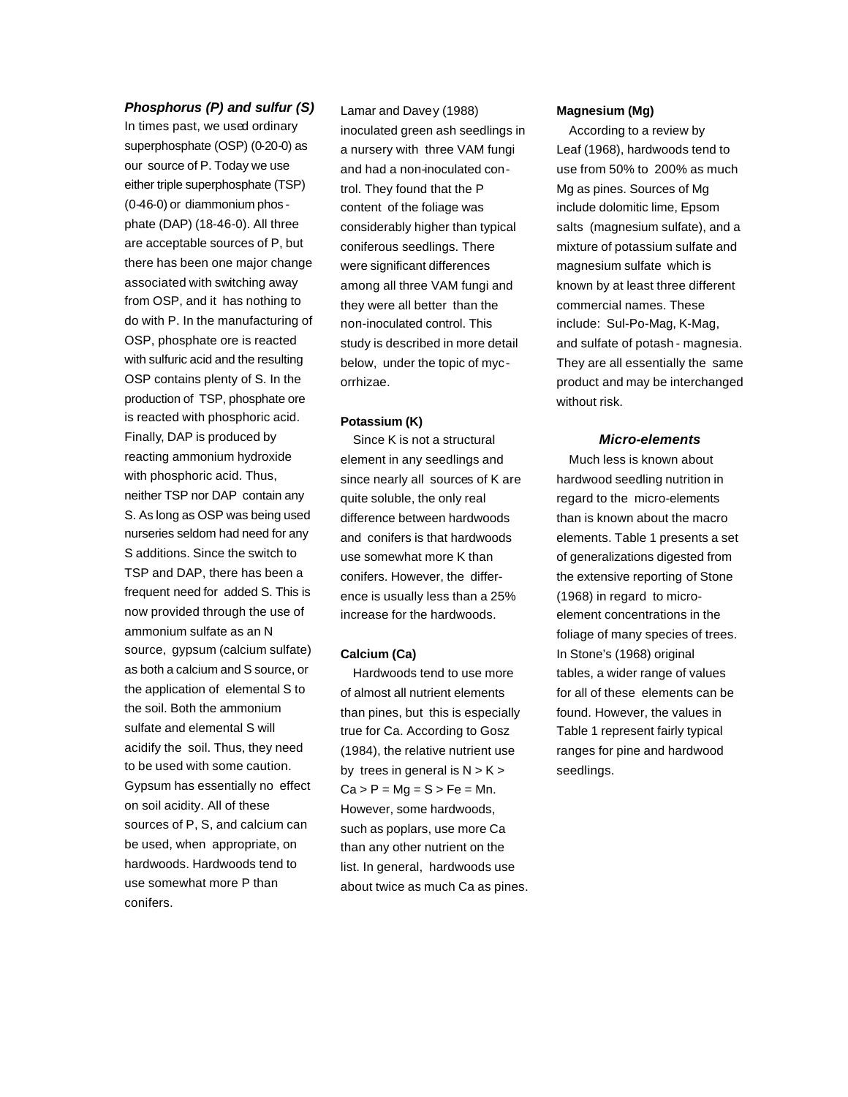## *Phosphorus (P) and sulfur (S)*

In times past, we used ordinary superphosphate (OSP) (0-20-0) as our source of P. Today we use either triple superphosphate (TSP) (0-46-0) or diammonium phos phate (DAP) (18-46-0). All three are acceptable sources of P, but there has been one major change associated with switching away from OSP, and it has nothing to do with P. In the manufacturing of OSP, phosphate ore is reacted with sulfuric acid and the resulting OSP contains plenty of S. In the production of TSP, phosphate ore is reacted with phosphoric acid. Finally, DAP is produced by reacting ammonium hydroxide with phosphoric acid. Thus, neither TSP nor DAP contain any S. As long as OSP was being used nurseries seldom had need for any S additions. Since the switch to TSP and DAP, there has been a frequent need for added S. This is now provided through the use of ammonium sulfate as an N source, gypsum (calcium sulfate) as both a calcium and S source, or the application of elemental S to the soil. Both the ammonium sulfate and elemental S will acidify the soil. Thus, they need to be used with some caution. Gypsum has essentially no effect on soil acidity. All of these sources of P, S, and calcium can be used, when appropriate, on hardwoods. Hardwoods tend to use somewhat more P than conifers.

Lamar and Davey (1988) inoculated green ash seedlings in a nursery with three VAM fungi and had a non-inoculated control. They found that the P content of the foliage was considerably higher than typical coniferous seedlings. There were significant differences among all three VAM fungi and they were all better than the non-inoculated control. This study is described in more detail below, under the topic of mycorrhizae.

#### **Potassium (K)**

Since K is not a structural element in any seedlings and since nearly all sources of K are quite soluble, the only real difference between hardwoods and conifers is that hardwoods use somewhat more K than conifers. However, the difference is usually less than a 25% increase for the hardwoods.

#### **Calcium (Ca)**

Hardwoods tend to use more of almost all nutrient elements than pines, but this is especially true for Ca. According to Gosz (1984), the relative nutrient use by trees in general is  $N > K >$  $Ca > P = Mg = S > Fe = Mn$ . However, some hardwoods, such as poplars, use more Ca than any other nutrient on the list. In general, hardwoods use about twice as much Ca as pines.

#### **Magnesium (Mg)**

According to a review by Leaf (1968), hardwoods tend to use from 50% to 200% as much Mg as pines. Sources of Mg include dolomitic lime, Epsom salts (magnesium sulfate), and a mixture of potassium sulfate and magnesium sulfate which is known by at least three different commercial names. These include: Sul-Po-Mag, K-Mag, and sulfate of potash - magnesia. They are all essentially the same product and may be interchanged without risk.

#### *Micro-elements*

Much less is known about hardwood seedling nutrition in regard to the micro-elements than is known about the macro elements. Table 1 presents a set of generalizations digested from the extensive reporting of Stone (1968) in regard to microelement concentrations in the foliage of many species of trees. In Stone's (1968) original tables, a wider range of values for all of these elements can be found. However, the values in Table 1 represent fairly typical ranges for pine and hardwood seedlings.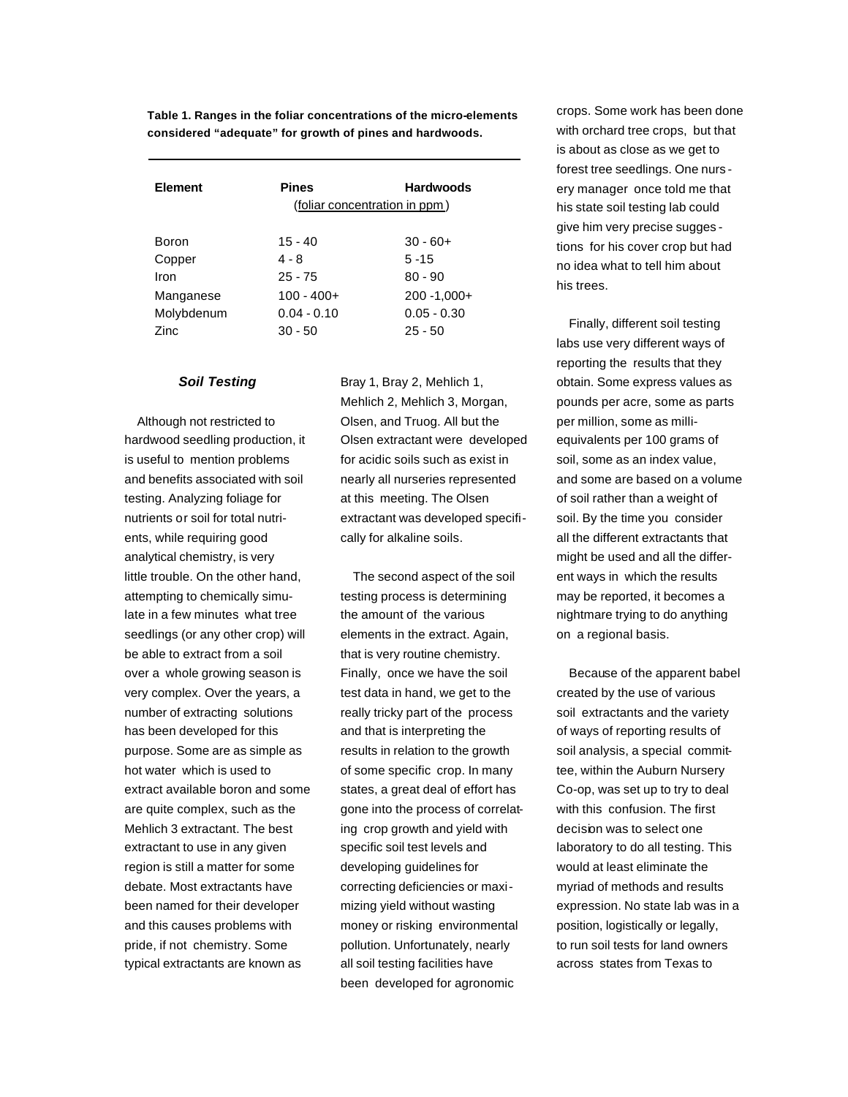**Table 1. Ranges in the foliar concentrations of the micro-elements considered "adequate" for growth of pines and hardwoods.**

| <b>Element</b> | <b>Pines</b><br>(foliar concentration in ppm) | <b>Hardwoods</b> |
|----------------|-----------------------------------------------|------------------|
| Boron          | $15 - 40$                                     | $30 - 60 +$      |
| Copper         | 4 - 8                                         | $5 - 15$         |
| Iron           | $25 - 75$                                     | $80 - 90$        |
| Manganese      | $100 - 400 +$                                 | $200 - 1,000 +$  |
| Molybdenum     | $0.04 - 0.10$                                 | $0.05 - 0.30$    |
| Zinc           | $30 - 50$                                     | $25 - 50$        |

#### *Soil Testing*

Although not restricted to hardwood seedling production, it is useful to mention problems and benefits associated with soil testing. Analyzing foliage for nutrients or soil for total nutrients, while requiring good analytical chemistry, is very little trouble. On the other hand, attempting to chemically simulate in a few minutes what tree seedlings (or any other crop) will be able to extract from a soil over a whole growing season is very complex. Over the years, a number of extracting solutions has been developed for this purpose. Some are as simple as hot water which is used to extract available boron and some are quite complex, such as the Mehlich 3 extractant. The best extractant to use in any given region is still a matter for some debate. Most extractants have been named for their developer and this causes problems with pride, if not chemistry. Some typical extractants are known as

Bray 1, Bray 2, Mehlich 1, Mehlich 2, Mehlich 3, Morgan, Olsen, and Truog. All but the Olsen extractant were developed for acidic soils such as exist in nearly all nurseries represented at this meeting. The Olsen extractant was developed specifically for alkaline soils.

The second aspect of the soil testing process is determining the amount of the various elements in the extract. Again, that is very routine chemistry. Finally, once we have the soil test data in hand, we get to the really tricky part of the process and that is interpreting the results in relation to the growth of some specific crop. In many states, a great deal of effort has gone into the process of correlating crop growth and yield with specific soil test levels and developing guidelines for correcting deficiencies or maximizing yield without wasting money or risking environmental pollution. Unfortunately, nearly all soil testing facilities have been developed for agronomic

crops. Some work has been done with orchard tree crops, but that is about as close as we get to forest tree seedlings. One nurs ery manager once told me that his state soil testing lab could give him very precise sugges tions for his cover crop but had no idea what to tell him about his trees.

Finally, different soil testing labs use very different ways of reporting the results that they obtain. Some express values as pounds per acre, some as parts per million, some as milliequivalents per 100 grams of soil, some as an index value, and some are based on a volume of soil rather than a weight of soil. By the time you consider all the different extractants that might be used and all the different ways in which the results may be reported, it becomes a nightmare trying to do anything on a regional basis.

Because of the apparent babel created by the use of various soil extractants and the variety of ways of reporting results of soil analysis, a special committee, within the Auburn Nursery Co-op, was set up to try to deal with this confusion. The first decision was to select one laboratory to do all testing. This would at least eliminate the myriad of methods and results expression. No state lab was in a position, logistically or legally, to run soil tests for land owners across states from Texas to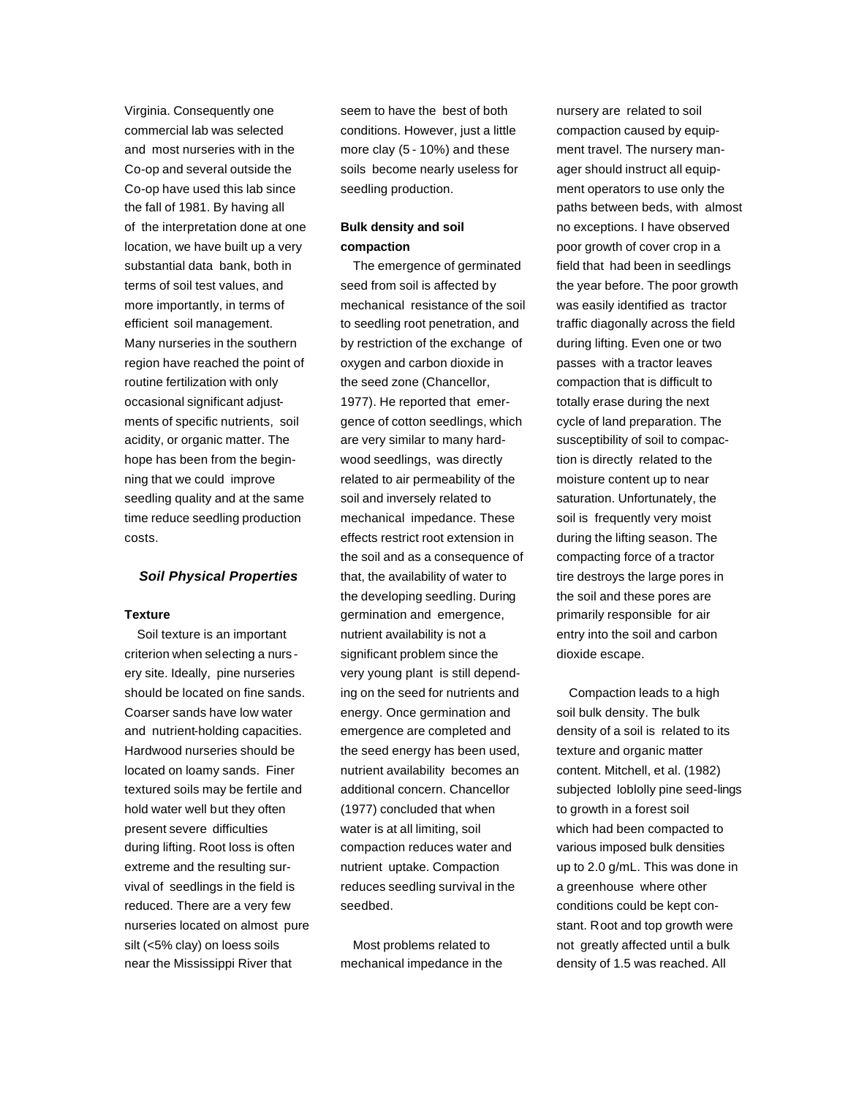Virginia. Consequently one commercial lab was selected and most nurseries with in the Co-op and several outside the Co-op have used this lab since the fall of 1981. By having all of the interpretation done at one location, we have built up a very substantial data bank, both in terms of soil test values, and more importantly, in terms of efficient soil management. Many nurseries in the southern region have reached the point of routine fertilization with only occasional significant adjustments of specific nutrients, soil acidity, or organic matter. The hope has been from the beginning that we could improve seedling quality and at the same time reduce seedling production costs.

## *Soil Physical Properties*

#### **Texture**

Soil texture is an important criterion when selecting a nurs ery site. Ideally, pine nurseries should be located on fine sands. Coarser sands have low water and nutrient-holding capacities. Hardwood nurseries should be located on loamy sands. Finer textured soils may be fertile and hold water well but they often present severe difficulties during lifting. Root loss is often extreme and the resulting survival of seedlings in the field is reduced. There are a very few nurseries located on almost pure silt (<5% clay) on loess soils near the Mississippi River that

seem to have the best of both conditions. However, just a little more clay (5 - 10%) and these soils become nearly useless for seedling production.

## **Bulk density and soil compaction**

The emergence of germinated seed from soil is affected by mechanical resistance of the soil to seedling root penetration, and by restriction of the exchange of oxygen and carbon dioxide in the seed zone (Chancellor, 1977). He reported that emergence of cotton seedlings, which are very similar to many hardwood seedlings, was directly related to air permeability of the soil and inversely related to mechanical impedance. These effects restrict root extension in the soil and as a consequence of that, the availability of water to the developing seedling. During germination and emergence, nutrient availability is not a significant problem since the very young plant is still depending on the seed for nutrients and energy. Once germination and emergence are completed and the seed energy has been used, nutrient availability becomes an additional concern. Chancellor (1977) concluded that when water is at all limiting, soil compaction reduces water and nutrient uptake. Compaction reduces seedling survival in the seedbed.

Most problems related to mechanical impedance in the nursery are related to soil compaction caused by equipment travel. The nursery manager should instruct all equipment operators to use only the paths between beds, with almost no exceptions. I have observed poor growth of cover crop in a field that had been in seedlings the year before. The poor growth was easily identified as tractor traffic diagonally across the field during lifting. Even one or two passes with a tractor leaves compaction that is difficult to totally erase during the next cycle of land preparation. The susceptibility of soil to compaction is directly related to the moisture content up to near saturation. Unfortunately, the soil is frequently very moist during the lifting season. The compacting force of a tractor tire destroys the large pores in the soil and these pores are primarily responsible for air entry into the soil and carbon dioxide escape.

Compaction leads to a high soil bulk density. The bulk density of a soil is related to its texture and organic matter content. Mitchell, et al. (1982) subjected loblolly pine seed-lings to growth in a forest soil which had been compacted to various imposed bulk densities up to 2.0 g/mL. This was done in a greenhouse where other conditions could be kept constant. Root and top growth were not greatly affected until a bulk density of 1.5 was reached. All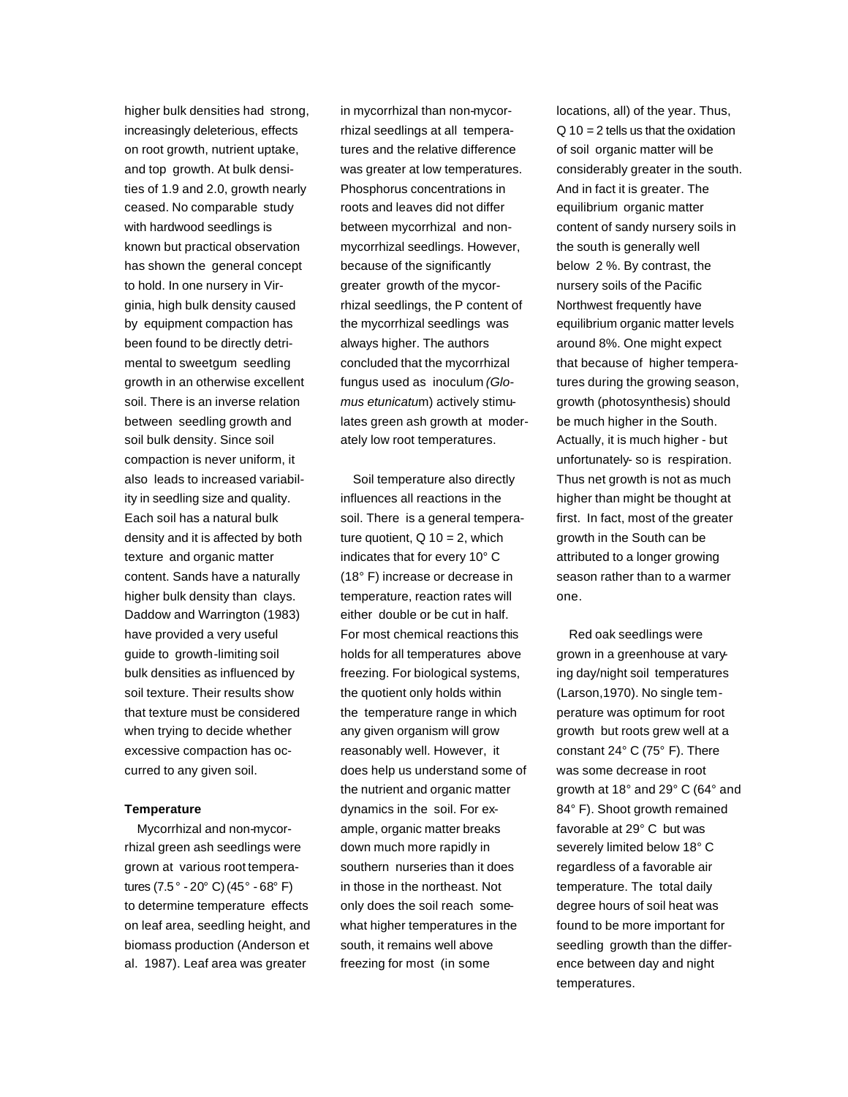higher bulk densities had strong, increasingly deleterious, effects on root growth, nutrient uptake, and top growth. At bulk densities of 1.9 and 2.0, growth nearly ceased. No comparable study with hardwood seedlings is known but practical observation has shown the general concept to hold. In one nursery in Virginia, high bulk density caused by equipment compaction has been found to be directly detrimental to sweetgum seedling growth in an otherwise excellent soil. There is an inverse relation between seedling growth and soil bulk density. Since soil compaction is never uniform, it also leads to increased variability in seedling size and quality. Each soil has a natural bulk density and it is affected by both texture and organic matter content. Sands have a naturally higher bulk density than clays. Daddow and Warrington (1983) have provided a very useful guide to growth-limiting soil bulk densities as influenced by soil texture. Their results show that texture must be considered when trying to decide whether excessive compaction has occurred to any given soil.

#### **Temperature**

Mycorrhizal and non-mycorrhizal green ash seedlings were grown at various root temperatures (7.5° - 20° C) (45° - 68° F) to determine temperature effects on leaf area, seedling height, and biomass production (Anderson et al. 1987). Leaf area was greater

in mycorrhizal than non-mycorrhizal seedlings at all temperatures and the relative difference was greater at low temperatures. Phosphorus concentrations in roots and leaves did not differ between mycorrhizal and nonmycorrhizal seedlings. However, because of the significantly greater growth of the mycorrhizal seedlings, the P content of the mycorrhizal seedlings was always higher. The authors concluded that the mycorrhizal fungus used as inoculum *(Glomus etunicatu*m) actively stimulates green ash growth at moderately low root temperatures.

Soil temperature also directly influences all reactions in the soil. There is a general temperature quotient,  $Q$  10 = 2, which indicates that for every 10° C (18° F) increase or decrease in temperature, reaction rates will either double or be cut in half. For most chemical reactions this holds for all temperatures above freezing. For biological systems, the quotient only holds within the temperature range in which any given organism will grow reasonably well. However, it does help us understand some of the nutrient and organic matter dynamics in the soil. For example, organic matter breaks down much more rapidly in southern nurseries than it does in those in the northeast. Not only does the soil reach somewhat higher temperatures in the south, it remains well above freezing for most (in some

locations, all) of the year. Thus,  $Q$  10 = 2 tells us that the oxidation of soil organic matter will be considerably greater in the south. And in fact it is greater. The equilibrium organic matter content of sandy nursery soils in the south is generally well below 2 %. By contrast, the nursery soils of the Pacific Northwest frequently have equilibrium organic matter levels around 8%. One might expect that because of higher temperatures during the growing season, growth (photosynthesis) should be much higher in the South. Actually, it is much higher - but unfortunately- so is respiration. Thus net growth is not as much higher than might be thought at first. In fact, most of the greater growth in the South can be attributed to a longer growing season rather than to a warmer one.

Red oak seedlings were grown in a greenhouse at varying day/night soil temperatures (Larson,1970). No single temperature was optimum for root growth but roots grew well at a constant 24° C (75° F). There was some decrease in root growth at 18° and 29° C (64° and 84° F). Shoot growth remained favorable at 29° C but was severely limited below 18° C regardless of a favorable air temperature. The total daily degree hours of soil heat was found to be more important for seedling growth than the difference between day and night temperatures.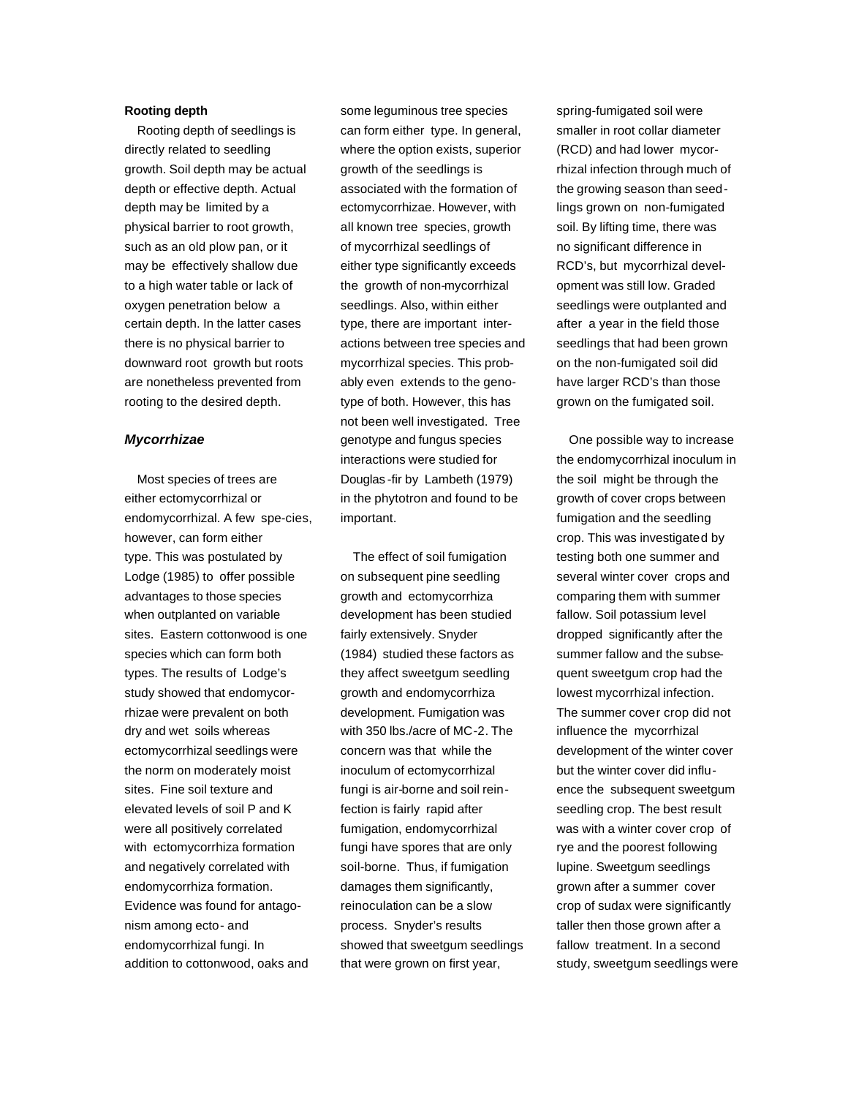## **Rooting depth**

Rooting depth of seedlings is directly related to seedling growth. Soil depth may be actual depth or effective depth. Actual depth may be limited by a physical barrier to root growth, such as an old plow pan, or it may be effectively shallow due to a high water table or lack of oxygen penetration below a certain depth. In the latter cases there is no physical barrier to downward root growth but roots are nonetheless prevented from rooting to the desired depth.

#### *Mycorrhizae*

Most species of trees are either ectomycorrhizal or endomycorrhizal. A few spe-cies, however, can form either type. This was postulated by Lodge (1985) to offer possible advantages to those species when outplanted on variable sites. Eastern cottonwood is one species which can form both types. The results of Lodge's study showed that endomycorrhizae were prevalent on both dry and wet soils whereas ectomycorrhizal seedlings were the norm on moderately moist sites. Fine soil texture and elevated levels of soil P and K were all positively correlated with ectomycorrhiza formation and negatively correlated with endomycorrhiza formation. Evidence was found for antagonism among ecto- and endomycorrhizal fungi. In addition to cottonwood, oaks and

some leguminous tree species can form either type. In general, where the option exists, superior growth of the seedlings is associated with the formation of ectomycorrhizae. However, with all known tree species, growth of mycorrhizal seedlings of either type significantly exceeds the growth of non-mycorrhizal seedlings. Also, within either type, there are important interactions between tree species and mycorrhizal species. This probably even extends to the genotype of both. However, this has not been well investigated. Tree genotype and fungus species interactions were studied for Douglas -fir by Lambeth (1979) in the phytotron and found to be important.

The effect of soil fumigation on subsequent pine seedling growth and ectomycorrhiza development has been studied fairly extensively. Snyder (1984) studied these factors as they affect sweetgum seedling growth and endomycorrhiza development. Fumigation was with 350 lbs./acre of MC-2. The concern was that while the inoculum of ectomycorrhizal fungi is air-borne and soil reinfection is fairly rapid after fumigation, endomycorrhizal fungi have spores that are only soil-borne. Thus, if fumigation damages them significantly, reinoculation can be a slow process. Snyder's results showed that sweetgum seedlings that were grown on first year,

spring-fumigated soil were smaller in root collar diameter (RCD) and had lower mycorrhizal infection through much of the growing season than seedlings grown on non-fumigated soil. By lifting time, there was no significant difference in RCD's, but mycorrhizal development was still low. Graded seedlings were outplanted and after a year in the field those seedlings that had been grown on the non-fumigated soil did have larger RCD's than those grown on the fumigated soil.

One possible way to increase the endomycorrhizal inoculum in the soil might be through the growth of cover crops between fumigation and the seedling crop. This was investigated by testing both one summer and several winter cover crops and comparing them with summer fallow. Soil potassium level dropped significantly after the summer fallow and the subsequent sweetgum crop had the lowest mycorrhizal infection. The summer cover crop did not influence the mycorrhizal development of the winter cover but the winter cover did influence the subsequent sweetgum seedling crop. The best result was with a winter cover crop of rye and the poorest following lupine. Sweetgum seedlings grown after a summer cover crop of sudax were significantly taller then those grown after a fallow treatment. In a second study, sweetgum seedlings were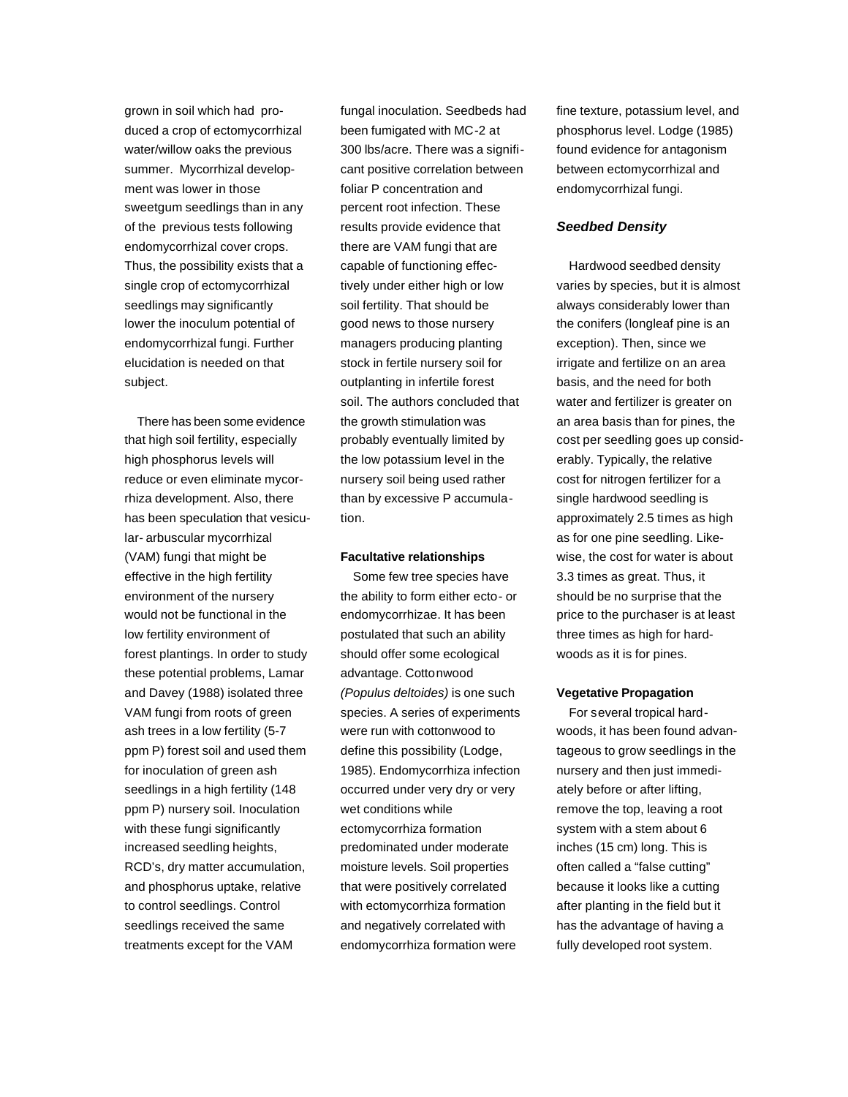grown in soil which had produced a crop of ectomycorrhizal water/willow oaks the previous summer. Mycorrhizal development was lower in those sweetgum seedlings than in any of the previous tests following endomycorrhizal cover crops. Thus, the possibility exists that a single crop of ectomycorrhizal seedlings may significantly lower the inoculum potential of endomycorrhizal fungi. Further elucidation is needed on that subject.

There has been some evidence that high soil fertility, especially high phosphorus levels will reduce or even eliminate mycorrhiza development. Also, there has been speculation that vesicular- arbuscular mycorrhizal (VAM) fungi that might be effective in the high fertility environment of the nursery would not be functional in the low fertility environment of forest plantings. In order to study these potential problems, Lamar and Davey (1988) isolated three VAM fungi from roots of green ash trees in a low fertility (5-7 ppm P) forest soil and used them for inoculation of green ash seedlings in a high fertility (148 ppm P) nursery soil. Inoculation with these fungi significantly increased seedling heights, RCD's, dry matter accumulation, and phosphorus uptake, relative to control seedlings. Control seedlings received the same treatments except for the VAM

fungal inoculation. Seedbeds had been fumigated with MC-2 at 300 lbs/acre. There was a significant positive correlation between foliar P concentration and percent root infection. These results provide evidence that there are VAM fungi that are capable of functioning effectively under either high or low soil fertility. That should be good news to those nursery managers producing planting stock in fertile nursery soil for outplanting in infertile forest soil. The authors concluded that the growth stimulation was probably eventually limited by the low potassium level in the nursery soil being used rather than by excessive P accumulation.

#### **Facultative relationships**

Some few tree species have the ability to form either ecto- or endomycorrhizae. It has been postulated that such an ability should offer some ecological advantage. Cottonwood *(Populus deltoides)* is one such species. A series of experiments were run with cottonwood to define this possibility (Lodge, 1985). Endomycorrhiza infection occurred under very dry or very wet conditions while ectomycorrhiza formation predominated under moderate moisture levels. Soil properties that were positively correlated with ectomycorrhiza formation and negatively correlated with endomycorrhiza formation were

fine texture, potassium level, and phosphorus level. Lodge (1985) found evidence for antagonism between ectomycorrhizal and endomycorrhizal fungi.

## *Seedbed Density*

Hardwood seedbed density varies by species, but it is almost always considerably lower than the conifers (longleaf pine is an exception). Then, since we irrigate and fertilize on an area basis, and the need for both water and fertilizer is greater on an area basis than for pines, the cost per seedling goes up considerably. Typically, the relative cost for nitrogen fertilizer for a single hardwood seedling is approximately 2.5 times as high as for one pine seedling. Likewise, the cost for water is about 3.3 times as great. Thus, it should be no surprise that the price to the purchaser is at least three times as high for hardwoods as it is for pines.

#### **Vegetative Propagation**

For several tropical hardwoods, it has been found advantageous to grow seedlings in the nursery and then just immediately before or after lifting, remove the top, leaving a root system with a stem about 6 inches (15 cm) long. This is often called a "false cutting" because it looks like a cutting after planting in the field but it has the advantage of having a fully developed root system.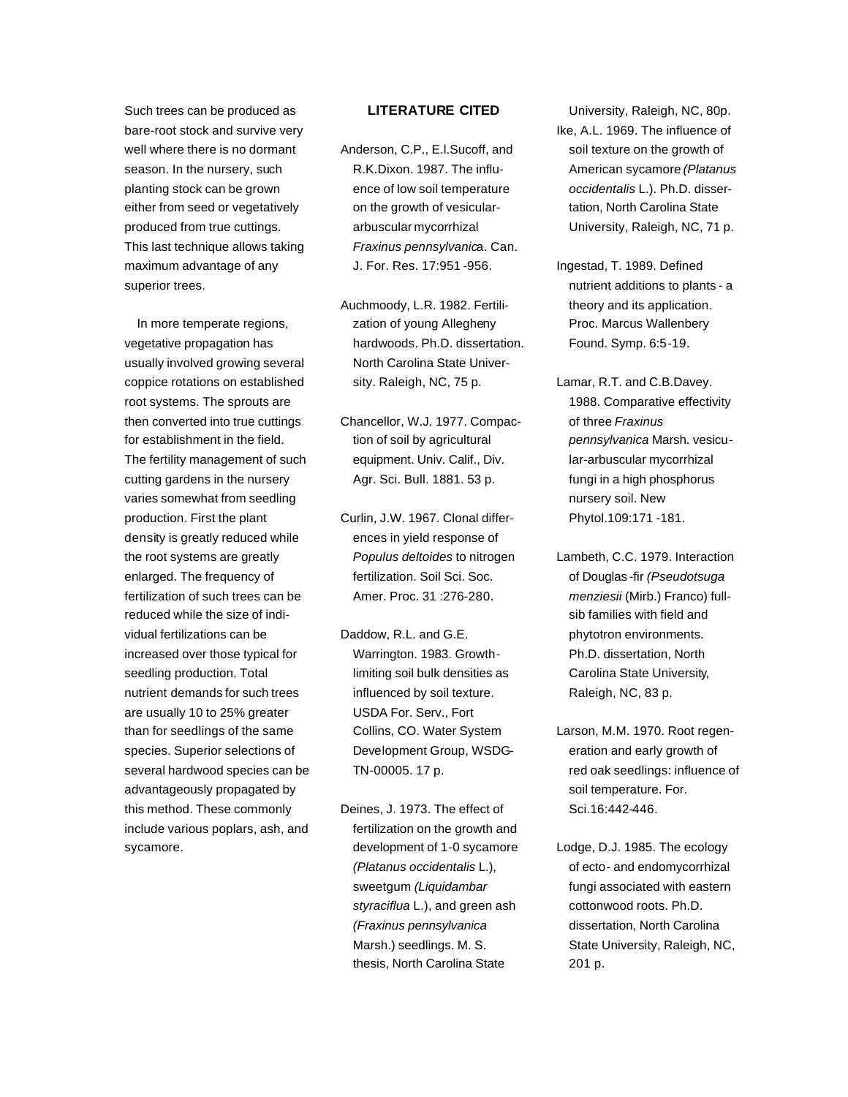Such trees can be produced as bare-root stock and survive very well where there is no dormant season. In the nursery, such planting stock can be grown either from seed or vegetatively produced from true cuttings. This last technique allows taking maximum advantage of any superior trees.

In more temperate regions, vegetative propagation has usually involved growing several coppice rotations on established root systems. The sprouts are then converted into true cuttings for establishment in the field. The fertility management of such cutting gardens in the nursery varies somewhat from seedling production. First the plant density is greatly reduced while the root systems are greatly enlarged. The frequency of fertilization of such trees can be reduced while the size of individual fertilizations can be increased over those typical for seedling production. Total nutrient demands for such trees are usually 10 to 25% greater than for seedlings of the same species. Superior selections of several hardwood species can be advantageously propagated by this method. These commonly include various poplars, ash, and sycamore.

## **LITERATURE CITED**

- Anderson, C.P., E.l.Sucoff, and R.K.Dixon. 1987. The influence of low soil temperature on the growth of vesiculararbuscular mycorrhizal *Fraxinus pennsylvanic*a. Can. J. For. Res. 17:951 -956.
- Auchmoody, L.R. 1982. Fertilization of young Allegheny hardwoods. Ph.D. dissertation. North Carolina State University. Raleigh, NC, 75 p.
- Chancellor, W.J. 1977. Compaction of soil by agricultural equipment. Univ. Calif., Div. Agr. Sci. Bull. 1881. 53 p.
- Curlin, J.W. 1967. Clonal differences in yield response of *Populus deltoides* to nitrogen fertilization. Soil Sci. Soc. Amer. Proc. 31 :276-280.
- Daddow, R.L. and G.E. Warrington. 1983. Growthlimiting soil bulk densities as influenced by soil texture. USDA For. Serv., Fort Collins, CO. Water System Development Group, WSDG-TN-00005. 17 p.
- Deines, J. 1973. The effect of fertilization on the growth and development of 1-0 sycamore *(Platanus occidentalis* L.), sweetgum *(Liquidambar styraciflua* L.), and green ash *(Fraxinus pennsylvanica* Marsh.) seedlings. M. S. thesis, North Carolina State

University, Raleigh, NC, 80p. Ike, A.L. 1969. The influence of soil texture on the growth of American sycamore *(Platanus occidentalis* L.). Ph.D. dissertation, North Carolina State University, Raleigh, NC, 71 p.

- Ingestad, T. 1989. Defined nutrient additions to plants - a theory and its application. Proc. Marcus Wallenbery Found. Symp. 6:5-19.
- Lamar, R.T. and C.B.Davey. 1988. Comparative effectivity of three *Fraxinus pennsylvanica* Marsh. vesicular-arbuscular mycorrhizal fungi in a high phosphorus nursery soil. New Phytol.109:171 -181.
- Lambeth, C.C. 1979. Interaction of Douglas -fir *(Pseudotsuga menziesii* (Mirb.) Franco) fullsib families with field and phytotron environments. Ph.D. dissertation, North Carolina State University, Raleigh, NC, 83 p.
- Larson, M.M. 1970. Root regeneration and early growth of red oak seedlings: influence of soil temperature. For. Sci.16:442-446.
- Lodge, D.J. 1985. The ecology of ecto- and endomycorrhizal fungi associated with eastern cottonwood roots. Ph.D. dissertation, North Carolina State University, Raleigh, NC, 201 p.